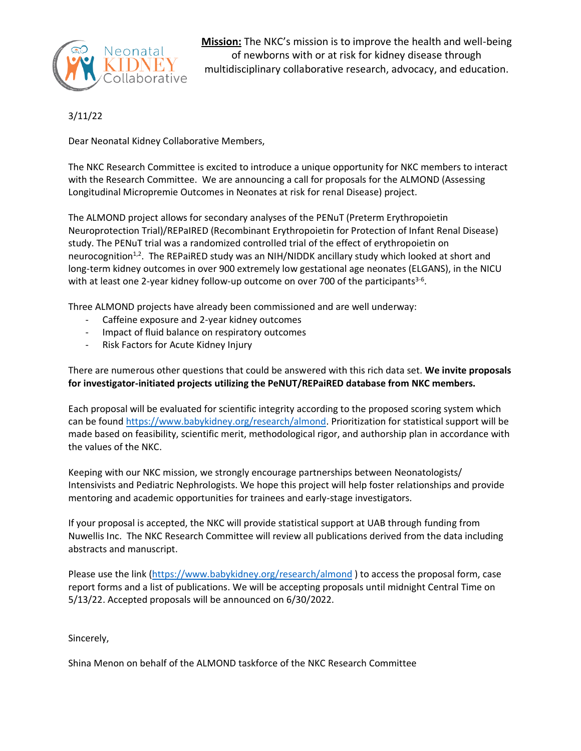

**Mission:** The NKC's mission is to improve the health and well-being of newborns with or at risk for kidney disease through multidisciplinary collaborative research, advocacy, and education.

3/11/22

Dear Neonatal Kidney Collaborative Members,

The NKC Research Committee is excited to introduce a unique opportunity for NKC members to interact with the Research Committee. We are announcing a call for proposals for the ALMOND (Assessing Longitudinal Micropremie Outcomes in Neonates at risk for renal Disease) project.

The ALMOND project allows for secondary analyses of the PENuT (Preterm Erythropoietin Neuroprotection Trial)/REPaIRED (Recombinant Erythropoietin for Protection of Infant Renal Disease) study. The PENuT trial was a randomized controlled trial of the effect of erythropoietin on neurocognition $1.2$ . The REPaiRED study was an NIH/NIDDK ancillary study which looked at short and long-term kidney outcomes in over 900 extremely low gestational age neonates (ELGANS), in the NICU with at least one 2-year kidney follow-up outcome on over 700 of the participants<sup>3-6</sup>.

Three ALMOND projects have already been commissioned and are well underway:

- Caffeine exposure and 2-year kidney outcomes
- Impact of fluid balance on respiratory outcomes
- Risk Factors for Acute Kidney Injury

There are numerous other questions that could be answered with this rich data set. **We invite proposals for investigator-initiated projects utilizing the PeNUT/REPaiRED database from NKC members.** 

Each proposal will be evaluated for scientific integrity according to the proposed scoring system which can be found [https://www.babykidney.org/research/almond.](https://www.babykidney.org/research/almond) Prioritization for statistical support will be made based on feasibility, scientific merit, methodological rigor, and authorship plan in accordance with the values of the NKC.

Keeping with our NKC mission, we strongly encourage partnerships between Neonatologists/ Intensivists and Pediatric Nephrologists. We hope this project will help foster relationships and provide mentoring and academic opportunities for trainees and early-stage investigators.

If your proposal is accepted, the NKC will provide statistical support at UAB through funding from Nuwellis Inc. The NKC Research Committee will review all publications derived from the data including abstracts and manuscript.

Please use the link [\(https://www.babykidney.org/research/almond](https://www.babykidney.org/research/almond) ) to access the proposal form, case report forms and a list of publications. We will be accepting proposals until midnight Central Time on 5/13/22. Accepted proposals will be announced on 6/30/2022.

Sincerely,

Shina Menon on behalf of the ALMOND taskforce of the NKC Research Committee